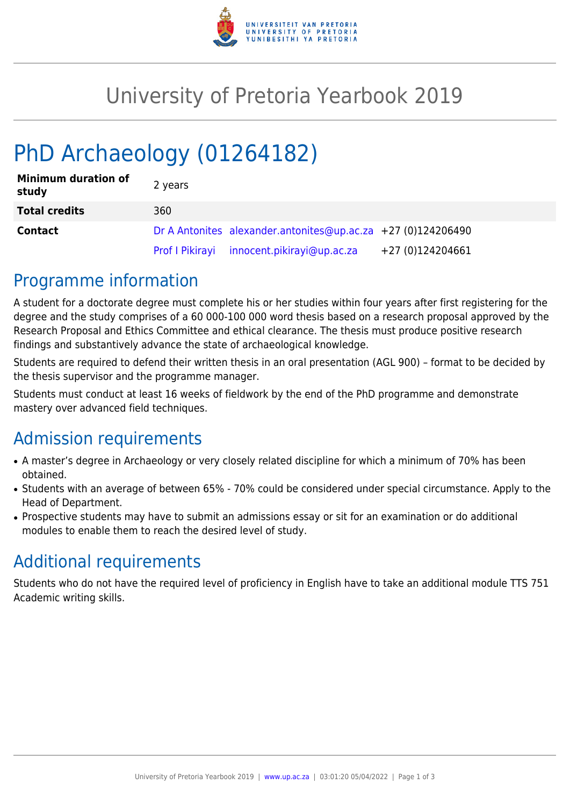

## University of Pretoria Yearbook 2019

# PhD Archaeology (01264182)

| <b>Minimum duration of</b><br>study | 2 years |                                                              |                  |
|-------------------------------------|---------|--------------------------------------------------------------|------------------|
| <b>Total credits</b>                | 360     |                                                              |                  |
| <b>Contact</b>                      |         | Dr A Antonites alexander.antonites@up.ac.za +27 (0)124206490 |                  |
|                                     |         | Prof I Pikirayi innocent.pikirayi@up.ac.za                   | +27 (0)124204661 |

#### Programme information

A student for a doctorate degree must complete his or her studies within four years after first registering for the degree and the study comprises of a 60 000-100 000 word thesis based on a research proposal approved by the Research Proposal and Ethics Committee and ethical clearance. The thesis must produce positive research findings and substantively advance the state of archaeological knowledge.

Students are required to defend their written thesis in an oral presentation (AGL 900) – format to be decided by the thesis supervisor and the programme manager.

Students must conduct at least 16 weeks of fieldwork by the end of the PhD programme and demonstrate mastery over advanced field techniques.

## Admission requirements

- A master's degree in Archaeology or very closely related discipline for which a minimum of 70% has been obtained.
- Students with an average of between 65% 70% could be considered under special circumstance. Apply to the Head of Department.
- Prospective students may have to submit an admissions essay or sit for an examination or do additional modules to enable them to reach the desired level of study.

## Additional requirements

Students who do not have the required level of proficiency in English have to take an additional module TTS 751 Academic writing skills.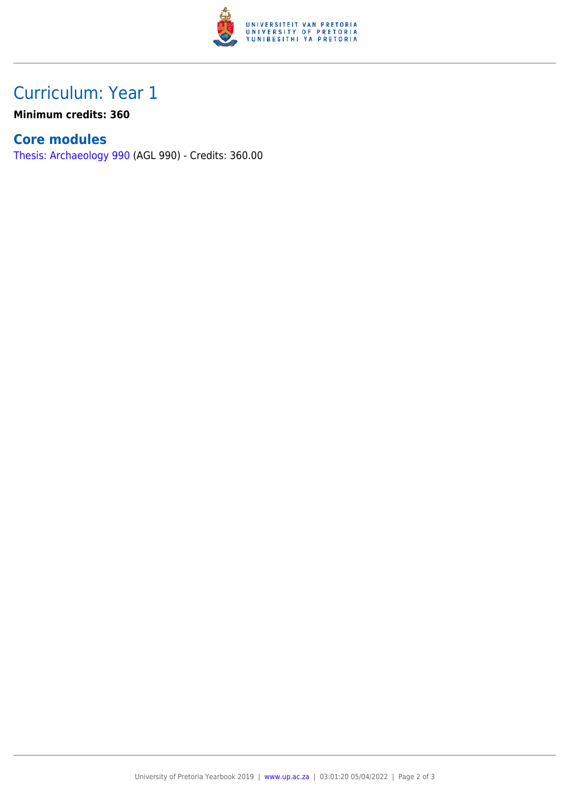

## Curriculum: Year 1

**Minimum credits: 360**

#### **Core modules**

[Thesis: Archaeology 990](https://www.up.ac.za/yearbooks/2019/modules/view/AGL 990) (AGL 990) - Credits: 360.00